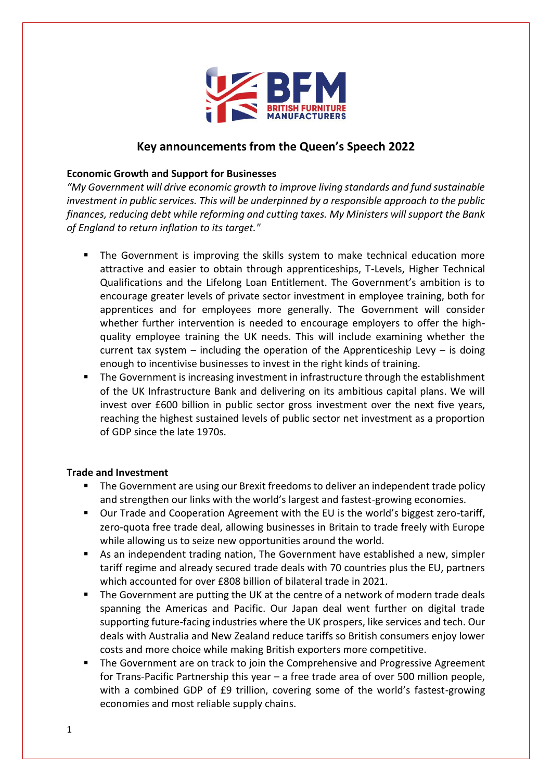

# **Key announcements from the Queen's Speech 2022**

### **Economic Growth and Support for Businesses**

*"My Government will drive economic growth to improve living standards and fund sustainable investment in public services. This will be underpinned by a responsible approach to the public finances, reducing debt while reforming and cutting taxes. My Ministers will support the Bank of England to return inflation to its target."*

- The Government is improving the skills system to make technical education more attractive and easier to obtain through apprenticeships, T-Levels, Higher Technical Qualifications and the Lifelong Loan Entitlement. The Government's ambition is to encourage greater levels of private sector investment in employee training, both for apprentices and for employees more generally. The Government will consider whether further intervention is needed to encourage employers to offer the highquality employee training the UK needs. This will include examining whether the current tax system – including the operation of the Apprenticeship Levy – is doing enough to incentivise businesses to invest in the right kinds of training.
- The Government is increasing investment in infrastructure through the establishment of the UK Infrastructure Bank and delivering on its ambitious capital plans. We will invest over £600 billion in public sector gross investment over the next five years, reaching the highest sustained levels of public sector net investment as a proportion of GDP since the late 1970s.

#### **Trade and Investment**

- The Government are using our Brexit freedoms to deliver an independent trade policy and strengthen our links with the world's largest and fastest-growing economies.
- Our Trade and Cooperation Agreement with the EU is the world's biggest zero-tariff, zero-quota free trade deal, allowing businesses in Britain to trade freely with Europe while allowing us to seize new opportunities around the world.
- As an independent trading nation, The Government have established a new, simpler tariff regime and already secured trade deals with 70 countries plus the EU, partners which accounted for over £808 billion of bilateral trade in 2021.
- The Government are putting the UK at the centre of a network of modern trade deals spanning the Americas and Pacific. Our Japan deal went further on digital trade supporting future-facing industries where the UK prospers, like services and tech. Our deals with Australia and New Zealand reduce tariffs so British consumers enjoy lower costs and more choice while making British exporters more competitive.
- The Government are on track to join the Comprehensive and Progressive Agreement for Trans-Pacific Partnership this year – a free trade area of over 500 million people, with a combined GDP of £9 trillion, covering some of the world's fastest-growing economies and most reliable supply chains.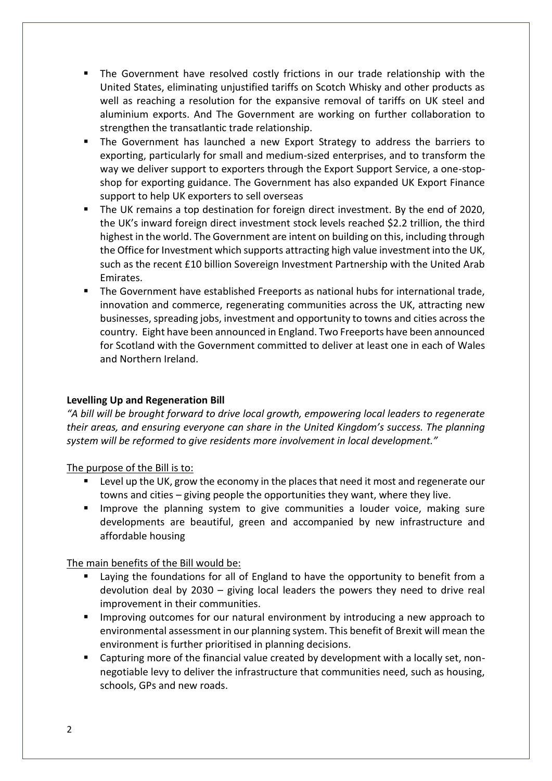- The Government have resolved costly frictions in our trade relationship with the United States, eliminating unjustified tariffs on Scotch Whisky and other products as well as reaching a resolution for the expansive removal of tariffs on UK steel and aluminium exports. And The Government are working on further collaboration to strengthen the transatlantic trade relationship.
- The Government has launched a new Export Strategy to address the barriers to exporting, particularly for small and medium-sized enterprises, and to transform the way we deliver support to exporters through the Export Support Service, a one-stopshop for exporting guidance. The Government has also expanded UK Export Finance support to help UK exporters to sell overseas
- The UK remains a top destination for foreign direct investment. By the end of 2020, the UK's inward foreign direct investment stock levels reached \$2.2 trillion, the third highest in the world. The Government are intent on building on this, including through the Office for Investment which supports attracting high value investment into the UK, such as the recent £10 billion Sovereign Investment Partnership with the United Arab Emirates.
- The Government have established Freeports as national hubs for international trade, innovation and commerce, regenerating communities across the UK, attracting new businesses, spreading jobs, investment and opportunity to towns and cities across the country.  Eight have been announced in England. Two Freeports have been announced for Scotland with the Government committed to deliver at least one in each of Wales and Northern Ireland.

# **Levelling Up and Regeneration Bill**

*"A bill will be brought forward to drive local growth, empowering local leaders to regenerate their areas, and ensuring everyone can share in the United Kingdom's success. The planning system will be reformed to give residents more involvement in local development."* 

The purpose of the Bill is to:

- Level up the UK, grow the economy in the places that need it most and regenerate our towns and cities – giving people the opportunities they want, where they live.
- **■** Improve the planning system to give communities a louder voice, making sure developments are beautiful, green and accompanied by new infrastructure and affordable housing

The main benefits of the Bill would be:

- Laying the foundations for all of England to have the opportunity to benefit from a devolution deal by 2030 – giving local leaders the powers they need to drive real improvement in their communities.
- Improving outcomes for our natural environment by introducing a new approach to environmental assessment in our planning system. This benefit of Brexit will mean the environment is further prioritised in planning decisions.
- Capturing more of the financial value created by development with a locally set, nonnegotiable levy to deliver the infrastructure that communities need, such as housing, schools, GPs and new roads.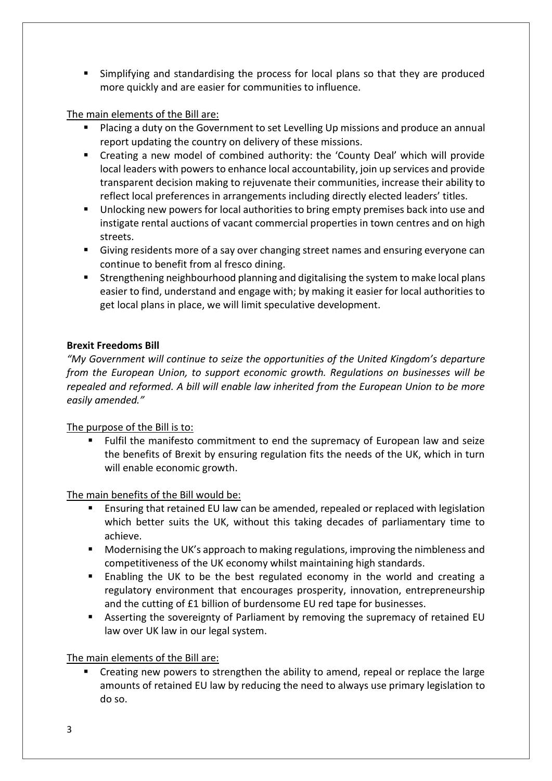■ Simplifying and standardising the process for local plans so that they are produced more quickly and are easier for communities to influence.

## The main elements of the Bill are:

- Placing a duty on the Government to set Levelling Up missions and produce an annual report updating the country on delivery of these missions.
- Creating a new model of combined authority: the 'County Deal' which will provide local leaders with powers to enhance local accountability, join up services and provide transparent decision making to rejuvenate their communities, increase their ability to reflect local preferences in arrangements including directly elected leaders' titles.
- Unlocking new powers for local authorities to bring empty premises back into use and instigate rental auctions of vacant commercial properties in town centres and on high streets.
- Giving residents more of a say over changing street names and ensuring everyone can continue to benefit from al fresco dining.
- **E** Strengthening neighbourhood planning and digitalising the system to make local plans easier to find, understand and engage with; by making it easier for local authorities to get local plans in place, we will limit speculative development.

## **Brexit Freedoms Bill**

*"My Government will continue to seize the opportunities of the United Kingdom's departure from the European Union, to support economic growth. Regulations on businesses will be repealed and reformed. A bill will enable law inherited from the European Union to be more easily amended."* 

The purpose of the Bill is to:

■ Fulfil the manifesto commitment to end the supremacy of European law and seize the benefits of Brexit by ensuring regulation fits the needs of the UK, which in turn will enable economic growth.

The main benefits of the Bill would be:

- Ensuring that retained EU law can be amended, repealed or replaced with legislation which better suits the UK, without this taking decades of parliamentary time to achieve.
- Modernising the UK's approach to making regulations, improving the nimbleness and competitiveness of the UK economy whilst maintaining high standards.
- Enabling the UK to be the best regulated economy in the world and creating a regulatory environment that encourages prosperity, innovation, entrepreneurship and the cutting of £1 billion of burdensome EU red tape for businesses.
- **EXP** Asserting the sovereignty of Parliament by removing the supremacy of retained EU law over UK law in our legal system.

# The main elements of the Bill are:

Creating new powers to strengthen the ability to amend, repeal or replace the large amounts of retained EU law by reducing the need to always use primary legislation to do so.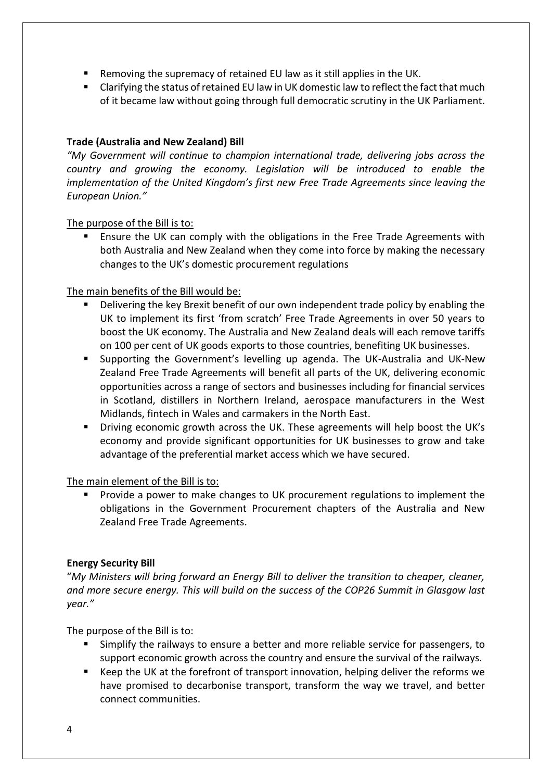- Removing the supremacy of retained EU law as it still applies in the UK.
- Clarifying the status of retained EU law in UK domestic law to reflect the fact that much of it became law without going through full democratic scrutiny in the UK Parliament.

## **Trade (Australia and New Zealand) Bill**

*"My Government will continue to champion international trade, delivering jobs across the country and growing the economy. Legislation will be introduced to enable the implementation of the United Kingdom's first new Free Trade Agreements since leaving the European Union."* 

The purpose of the Bill is to:

Ensure the UK can comply with the obligations in the Free Trade Agreements with both Australia and New Zealand when they come into force by making the necessary changes to the UK's domestic procurement regulations

The main benefits of the Bill would be:

- Delivering the key Brexit benefit of our own independent trade policy by enabling the UK to implement its first 'from scratch' Free Trade Agreements in over 50 years to boost the UK economy. The Australia and New Zealand deals will each remove tariffs on 100 per cent of UK goods exports to those countries, benefiting UK businesses.
- Supporting the Government's levelling up agenda. The UK-Australia and UK-New Zealand Free Trade Agreements will benefit all parts of the UK, delivering economic opportunities across a range of sectors and businesses including for financial services in Scotland, distillers in Northern Ireland, aerospace manufacturers in the West Midlands, fintech in Wales and carmakers in the North East.
- Driving economic growth across the UK. These agreements will help boost the UK's economy and provide significant opportunities for UK businesses to grow and take advantage of the preferential market access which we have secured.

The main element of the Bill is to:

Provide a power to make changes to UK procurement regulations to implement the obligations in the Government Procurement chapters of the Australia and New Zealand Free Trade Agreements.

### **Energy Security Bill**

"*My Ministers will bring forward an Energy Bill to deliver the transition to cheaper, cleaner, and more secure energy. This will build on the success of the COP26 Summit in Glasgow last year."*

The purpose of the Bill is to:

- Simplify the railways to ensure a better and more reliable service for passengers, to support economic growth across the country and ensure the survival of the railways.
- Keep the UK at the forefront of transport innovation, helping deliver the reforms we have promised to decarbonise transport, transform the way we travel, and better connect communities.